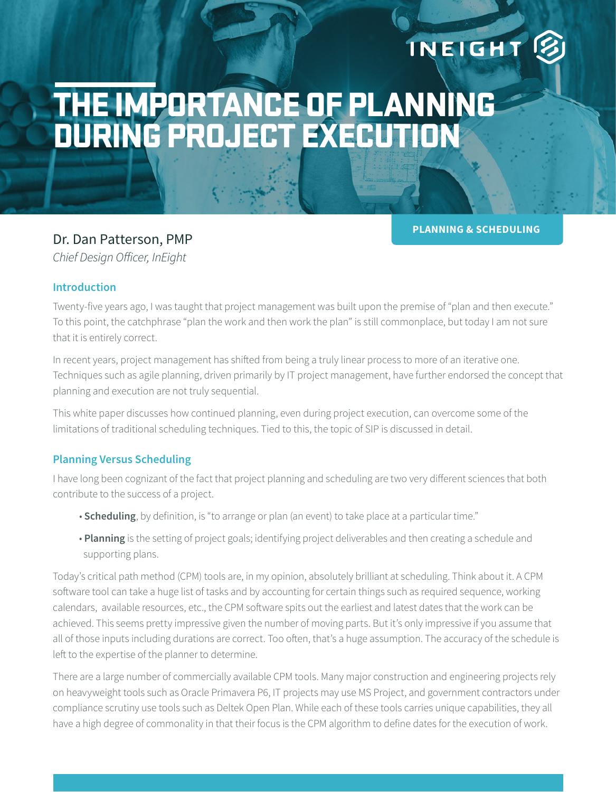# THE IMPORTANCE OF PLANNING DURING PROJECT EXECUTION

Dr. Dan Patterson, PMP Chief Design Officer, InEight

## **PLANNING & SCHEDULING**

INEIGHT

#### **Introduction**

Twenty-five years ago, I was taught that project management was built upon the premise of "plan and then execute." To this point, the catchphrase "plan the work and then work the plan" is still commonplace, but today I am not sure that it is entirely correct.

In recent years, project management has shifted from being a truly linear process to more of an iterative one. Techniques such as agile planning, driven primarily by IT project management, have further endorsed the concept that planning and execution are not truly sequential.

This white paper discusses how continued planning, even during project execution, can overcome some of the limitations of traditional scheduling techniques. Tied to this, the topic of SIP is discussed in detail.

#### **Planning Versus Scheduling**

I have long been cognizant of the fact that project planning and scheduling are two very different sciences that both contribute to the success of a project.

- **Scheduling**, by definition, is "to arrange or plan (an event) to take place at a particular time."
- **Planning** is the setting of project goals; identifying project deliverables and then creating a schedule and supporting plans.

Today's critical path method (CPM) tools are, in my opinion, absolutely brilliant at scheduling. Think about it. A CPM software tool can take a huge list of tasks and by accounting for certain things such as required sequence, working calendars, available resources, etc., the CPM software spits out the earliest and latest dates that the work can be achieved. This seems pretty impressive given the number of moving parts. But it's only impressive if you assume that all of those inputs including durations are correct. Too often, that's a huge assumption. The accuracy of the schedule is left to the expertise of the planner to determine.

There are a large number of commercially available CPM tools. Many major construction and engineering projects rely on heavyweight tools such as Oracle Primavera P6, IT projects may use MS Project, and government contractors under compliance scrutiny use tools such as Deltek Open Plan. While each of these tools carries unique capabilities, they all have a high degree of commonality in that their focus is the CPM algorithm to define dates for the execution of work.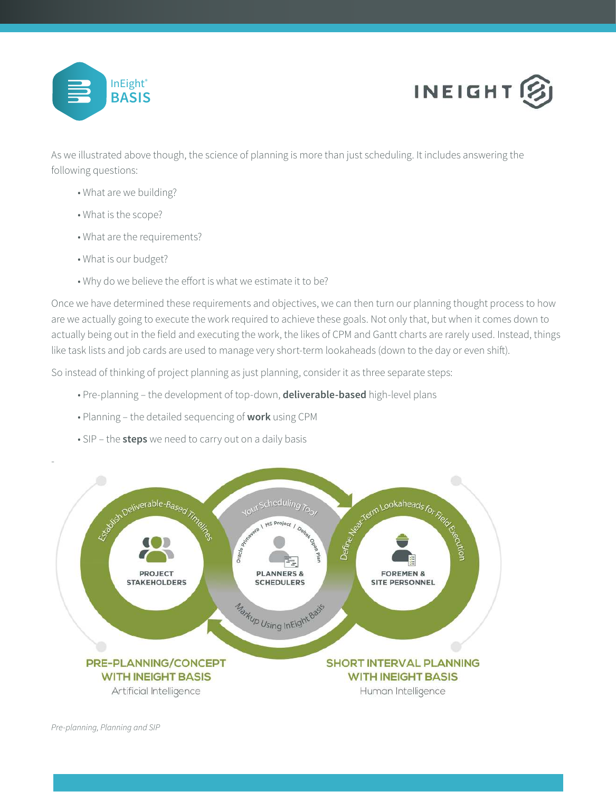



As we illustrated above though, the science of planning is more than just scheduling. It includes answering the following questions:

- What are we building?
- What is the scope?
- What are the requirements?
- What is our budget?
- Why do we believe the effort is what we estimate it to be?

Once we have determined these requirements and objectives, we can then turn our planning thought process to how are we actually going to execute the work required to achieve these goals. Not only that, but when it comes down to actually being out in the field and executing the work, the likes of CPM and Gantt charts are rarely used. Instead, things like task lists and job cards are used to manage very short-term lookaheads (down to the day or even shift).

So instead of thinking of project planning as just planning, consider it as three separate steps:

- Pre-planning the development of top-down, **deliverable-based** high-level plans
- Planning the detailed sequencing of **work** using CPM
- SIP the **steps** we need to carry out on a daily basis

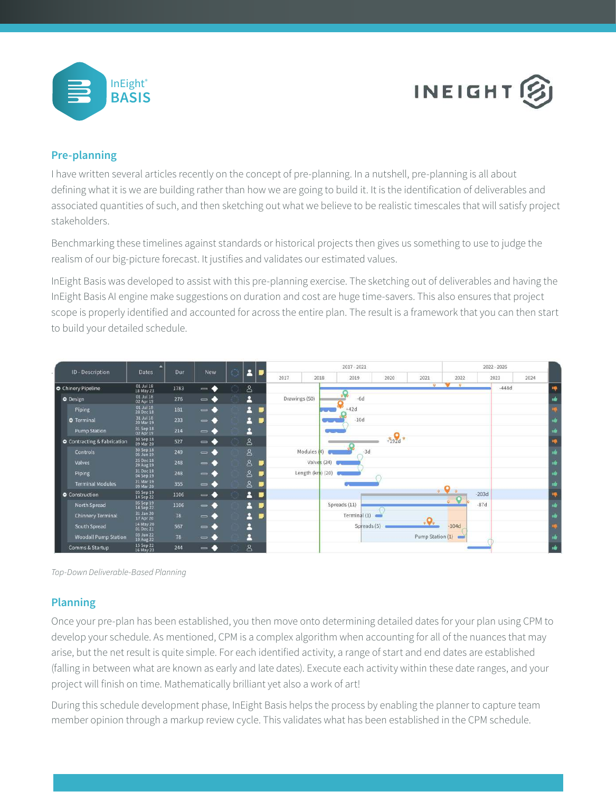



### **Pre-planning**

I have written several articles recently on the concept of pre-planning. In a nutshell, pre-planning is all about defining what it is we are building rather than how we are going to build it. It is the identification of deliverables and associated quantities of such, and then sketching out what we believe to be realistic timescales that will satisfy project stakeholders.

Benchmarking these timelines against standards or historical projects then gives us something to use to judge the realism of our big-picture forecast. It justifies and validates our estimated values.

InEight Basis was developed to assist with this pre-planning exercise. The sketching out of deliverables and having the InEight Basis AI engine make suggestions on duration and cost are huge time-savers. This also ensures that project scope is properly identified and accounted for across the entire plan. The result is a framework that you can then start to build your detailed schedule.



Top-Down Deliverable-Based Planning

### **Planning**

Once your pre-plan has been established, you then move onto determining detailed dates for your plan using CPM to develop your schedule. As mentioned, CPM is a complex algorithm when accounting for all of the nuances that may arise, but the net result is quite simple. For each identified activity, a range of start and end dates are established (falling in between what are known as early and late dates). Execute each activity within these date ranges, and your project will finish on time. Mathematically brilliant yet also a work of art!

During this schedule development phase, InEight Basis helps the process by enabling the planner to capture team member opinion through a markup review cycle. This validates what has been established in the CPM schedule.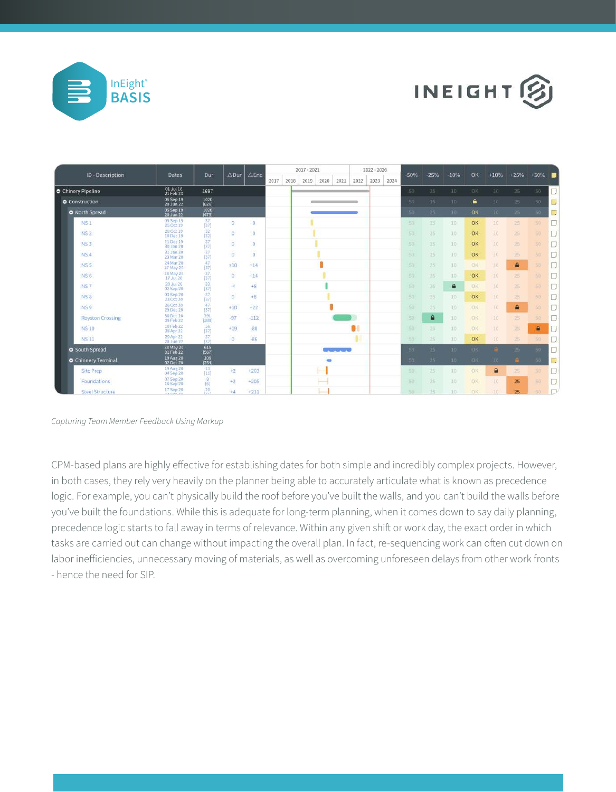



| ID - Description          |                        | Dur                        |                 | $\triangle$ End | $2017 - 2021$ |      |      |                          |                 | $2022 - 2026$ |      |      |                 |                 |                 |           |           |              |        |        |
|---------------------------|------------------------|----------------------------|-----------------|-----------------|---------------|------|------|--------------------------|-----------------|---------------|------|------|-----------------|-----------------|-----------------|-----------|-----------|--------------|--------|--------|
|                           | Dates                  |                            | $\triangle$ Dur |                 | 2017          | 2018 | 2019 | 2020                     | 2021            | 2022          | 2023 | 2024 | $-50%$          | $-25%$          | $-10%$          | OK        | $+10%$    | $+25%$       | $+50%$ |        |
| <b>O</b> Chinery Pipeline | 01 Jul 18<br>21 Feb 23 | 1697                       |                 |                 |               |      |      |                          |                 |               |      |      | 50              | 25              | 10              | OK        | 10        | 25           | 50     | D.     |
| <b>O</b> Construction     | 05 Sep 19<br>20 Jun 22 | 1020<br>[826]              |                 |                 |               |      |      |                          |                 |               |      |      | 50              | 25              | 10              | ٠         | 10        | 25           | 50     | IJ     |
| O North Spread            | 05 Sep 19<br>20 Jun 22 | 1020<br>[473]              |                 |                 |               |      |      |                          |                 |               |      |      | 50              | $25 -$          | 10 <sub>1</sub> | OK        | 10        | $-25 -$      | $-50$  | Ū      |
| NS <sub>1</sub>           | 05 Sep 19<br>25 Oct 19 | 37<br>(37)                 | $\Omega$        | 0               |               |      |      |                          |                 |               |      |      | 50              | 25              | 10              | OK        | 10        | 25           |        | D      |
| NS2                       | 28 Oct 19<br>10 Dec 19 | 32<br>1321                 | $\sigma$        | $\alpha$        |               |      |      |                          |                 |               |      |      | 50              | 25              | 10              | OK        | 10        | 28           |        | ŋ.     |
| NS3                       | 11 Dec 19<br>30 Jan 20 | 37<br>(37)                 | $\overline{0}$  | 0               |               |      |      |                          |                 |               |      |      | 50              | 25 <sub>1</sub> | 10              | OK        | 10        | 25           | 50     | D.     |
| <b>NS4</b>                | 31 Jan 20<br>23 Mar 20 | 37<br>(37)                 | $\alpha$        | $\overline{0}$  |               |      |      |                          |                 |               |      |      | 50              | 25 <sub>1</sub> | 10              | OK        | 10        | 25           |        | B.     |
| <b>NS5</b>                | 24 Mar 20<br>27 May 20 | 47<br>[37]                 | $+10$           | $+14$           |               |      |      |                          |                 |               |      |      | 50              | 25              | 10              | OK        | 10        | $\mathbf{a}$ |        | 7      |
| NS <sub>6</sub>           | 28 May 20<br>17 Jul 20 | 37.<br>[37]                | $\alpha$        | $+14$           |               |      |      |                          |                 |               |      |      | 50              | 25              | 10              | OK        | 10        | 25           |        | $\Box$ |
| NS7                       | 20 Jul 20<br>02 Sep 20 | 33<br>[37]                 | $-4$            | $+8$            |               |      |      |                          |                 |               |      |      | 50              | 25.             | ⋒               | <b>DK</b> | 10        | 25           |        | D      |
| <b>NS8</b>                | 03 Sep 20<br>23 Oct 20 | 37.<br>(37)                | $\mathbf{0}$    | $+8$            |               |      |      |                          |                 |               |      |      | 50              | 25.             | 10              | OK        | 10        | 25           |        | n.     |
| <b>NS9</b>                | 26 Oct 20<br>29 Dec 20 | 47.<br>(37)                | $+10$           | $+22$           |               |      |      |                          |                 |               |      |      | 50              | 25              | 10              | OK        | 10        | $\mathbf{a}$ |        | п      |
| <b>Royston Crossing</b>   | 30 Dec 20<br>09 Feb 22 | 291<br>[388]               | $-97$           | $-112$          |               |      |      |                          |                 |               |      |      | 50              | ۵               | 10              | <b>OK</b> | 10        | 25           |        | D      |
| <b>NS10</b>               | 10 Feb 22<br>28 Apr 22 | 56<br>(37)                 | $+19$           | $-88$           |               |      |      |                          |                 | 81            |      |      | 50              | 75              | 10              | OK        | 10        | 25           | ⋒      | D      |
| <b>NS11</b>               | 29 Apr 22<br>20 Jun 22 | 37<br>(37)                 | $\alpha$        | $-86$           |               |      |      |                          |                 |               |      |      | 50              | 25              | 10              | OK        | 10        | 25           |        | D      |
| <b>O</b> South Spread     | 28 May 20<br>01 Feb 22 | 615<br>[567]               |                 |                 |               |      |      |                          | <b>Commence</b> |               |      |      | 58              | $25 -$          | 10 <sub>1</sub> | OK        | n         | 25           | 50     | D      |
| <b>Chinnery Terminal</b>  | 19 Aug 20<br>02 Dec 20 | 106<br>[254]               |                 |                 |               |      |      | $\blacksquare$           |                 |               |      |      | 50 <sup>2</sup> | 25.             | 10 <sub>1</sub> | OK.       | $-10$     | n            | -50    | ۵      |
| <b>Site Prep</b>          | 19 Aug 20<br>04 Sep 20 | 13<br>$[11]$               | $+2$            | $+203$          |               |      |      | <b>Contract Contract</b> |                 |               |      |      | 50              | 25 <sub>1</sub> | 10              | OK        | $\bullet$ | $-25$        | 50     | D      |
| Foundations               | 07 Sep 20<br>16 Sep 20 | 8<br>[6]                   | $+2$            | $+205$          |               |      |      |                          |                 |               |      |      | 50              | 25              | 10              | <b>OK</b> | $-1.0$    | 25           | 50     | D      |
| <b>Steel Structure</b>    | 17 Sep 20<br>1.603430  | 20 <sub>1</sub><br>Ekin't. | $+A$            | $+211$          |               |      |      |                          |                 |               |      |      | SO.             | 25 <sub>1</sub> | 10              | <b>OK</b> | $10 -$    | 25           |        | $\Box$ |

Capturing Team Member Feedback Using Markup

CPM-based plans are highly effective for establishing dates for both simple and incredibly complex projects. However, in both cases, they rely very heavily on the planner being able to accurately articulate what is known as precedence logic. For example, you can't physically build the roof before you've built the walls, and you can't build the walls before you've built the foundations. While this is adequate for long-term planning, when it comes down to say daily planning, precedence logic starts to fall away in terms of relevance. Within any given shift or work day, the exact order in which tasks are carried out can change without impacting the overall plan. In fact, re-sequencing work can often cut down on labor inefficiencies, unnecessary moving of materials, as well as overcoming unforeseen delays from other work fronts - hence the need for SIP.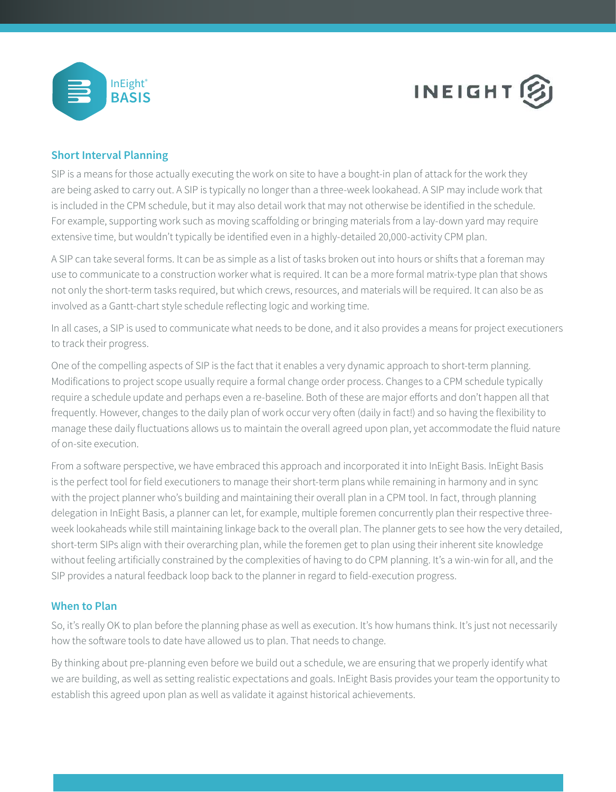



## **Short Interval Planning**

SIP is a means for those actually executing the work on site to have a bought-in plan of attack for the work they are being asked to carry out. A SIP is typically no longer than a three-week lookahead. A SIP may include work that is included in the CPM schedule, but it may also detail work that may not otherwise be identified in the schedule. For example, supporting work such as moving scaffolding or bringing materials from a lay-down yard may require extensive time, but wouldn't typically be identified even in a highly-detailed 20,000-activity CPM plan.

A SIP can take several forms. It can be as simple as a list of tasks broken out into hours or shifts that a foreman may use to communicate to a construction worker what is required. It can be a more formal matrix-type plan that shows not only the short-term tasks required, but which crews, resources, and materials will be required. It can also be as involved as a Gantt-chart style schedule reflecting logic and working time.

In all cases, a SIP is used to communicate what needs to be done, and it also provides a means for project executioners to track their progress.

One of the compelling aspects of SIP is the fact that it enables a very dynamic approach to short-term planning. Modifications to project scope usually require a formal change order process. Changes to a CPM schedule typically require a schedule update and perhaps even a re-baseline. Both of these are major efforts and don't happen all that frequently. However, changes to the daily plan of work occur very often (daily in fact!) and so having the flexibility to manage these daily fluctuations allows us to maintain the overall agreed upon plan, yet accommodate the fluid nature of on-site execution.

From a software perspective, we have embraced this approach and incorporated it into InEight Basis. InEight Basis is the perfect tool for field executioners to manage their short-term plans while remaining in harmony and in sync with the project planner who's building and maintaining their overall plan in a CPM tool. In fact, through planning delegation in InEight Basis, a planner can let, for example, multiple foremen concurrently plan their respective threeweek lookaheads while still maintaining linkage back to the overall plan. The planner gets to see how the very detailed, short-term SIPs align with their overarching plan, while the foremen get to plan using their inherent site knowledge without feeling artificially constrained by the complexities of having to do CPM planning. It's a win-win for all, and the SIP provides a natural feedback loop back to the planner in regard to field-execution progress.

#### **When to Plan**

So, it's really OK to plan before the planning phase as well as execution. It's how humans think. It's just not necessarily how the software tools to date have allowed us to plan. That needs to change.

By thinking about pre-planning even before we build out a schedule, we are ensuring that we properly identify what we are building, as well as setting realistic expectations and goals. InEight Basis provides your team the opportunity to establish this agreed upon plan as well as validate it against historical achievements.